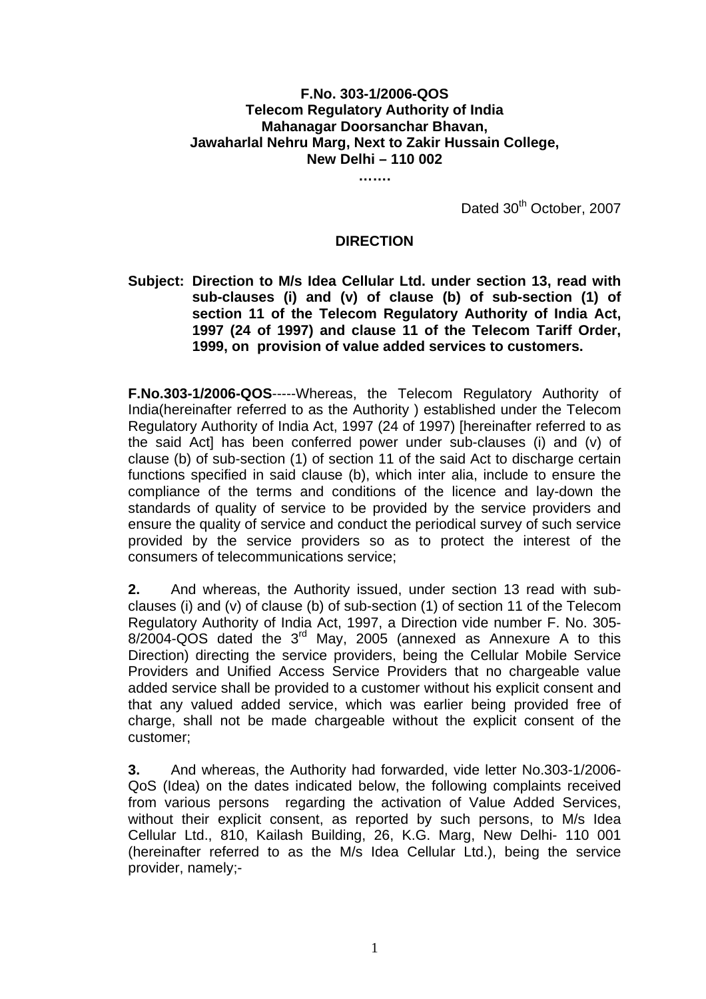### **F.No. 303-1/2006-QOS Telecom Regulatory Authority of India Mahanagar Doorsanchar Bhavan, Jawaharlal Nehru Marg, Next to Zakir Hussain College, New Delhi – 110 002**

**…….** 

Dated 30<sup>th</sup> October, 2007

#### **DIRECTION**

### **Subject: Direction to M/s Idea Cellular Ltd. under section 13, read with sub-clauses (i) and (v) of clause (b) of sub-section (1) of section 11 of the Telecom Regulatory Authority of India Act, 1997 (24 of 1997) and clause 11 of the Telecom Tariff Order, 1999, on provision of value added services to customers.**

**F.No.303-1/2006-QOS**-----Whereas, the Telecom Regulatory Authority of India(hereinafter referred to as the Authority ) established under the Telecom Regulatory Authority of India Act, 1997 (24 of 1997) [hereinafter referred to as the said Act] has been conferred power under sub-clauses (i) and (v) of clause (b) of sub-section (1) of section 11 of the said Act to discharge certain functions specified in said clause (b), which inter alia, include to ensure the compliance of the terms and conditions of the licence and lay-down the standards of quality of service to be provided by the service providers and ensure the quality of service and conduct the periodical survey of such service provided by the service providers so as to protect the interest of the consumers of telecommunications service;

**2.** And whereas, the Authority issued, under section 13 read with subclauses (i) and (v) of clause (b) of sub-section (1) of section 11 of the Telecom Regulatory Authority of India Act, 1997, a Direction vide number F. No. 305- 8/2004-QOS dated the 3rd May, 2005 (annexed as Annexure A to this Direction) directing the service providers, being the Cellular Mobile Service Providers and Unified Access Service Providers that no chargeable value added service shall be provided to a customer without his explicit consent and that any valued added service, which was earlier being provided free of charge, shall not be made chargeable without the explicit consent of the customer;

**3.** And whereas, the Authority had forwarded, vide letter No.303-1/2006- QoS (Idea) on the dates indicated below, the following complaints received from various persons regarding the activation of Value Added Services, without their explicit consent, as reported by such persons, to M/s Idea Cellular Ltd., 810, Kailash Building, 26, K.G. Marg, New Delhi- 110 001 (hereinafter referred to as the M/s Idea Cellular Ltd.), being the service provider, namely;-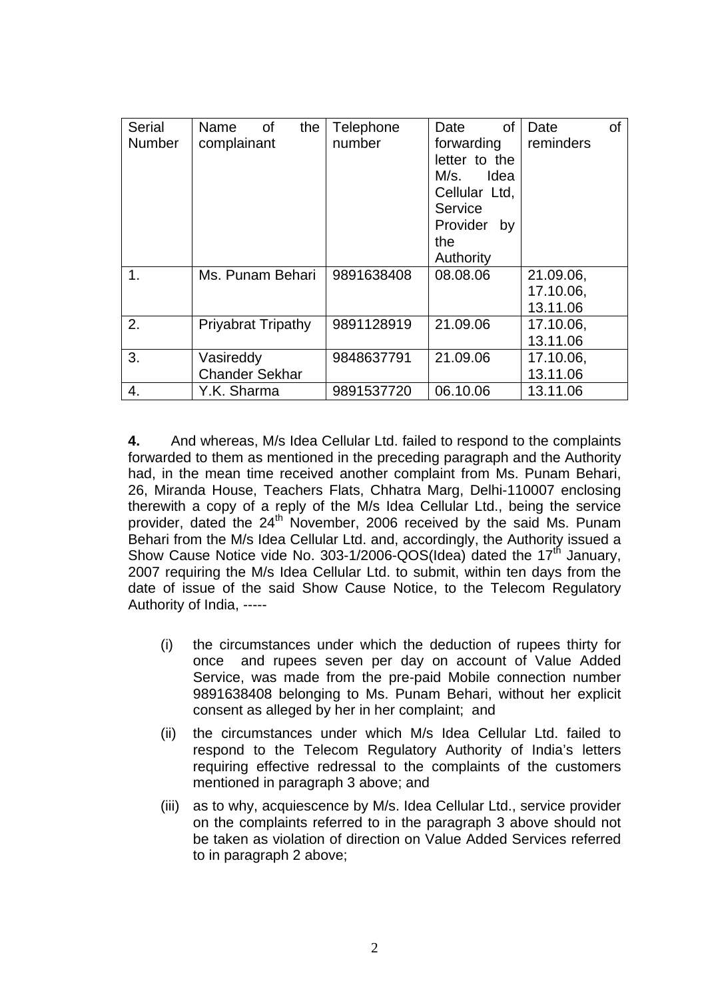| <b>Serial</b> | Name<br>0f<br>the         | Telephone  | <b>of</b><br>Date | Date<br>οf |
|---------------|---------------------------|------------|-------------------|------------|
| <b>Number</b> | complainant               | number     | forwarding        | reminders  |
|               |                           |            | letter to the     |            |
|               |                           |            | M/s.<br>Idea      |            |
|               |                           |            | Cellular Ltd,     |            |
|               |                           |            | Service           |            |
|               |                           |            | Provider<br>by    |            |
|               |                           |            | the               |            |
|               |                           |            | Authority         |            |
| 1.            | Ms. Punam Behari          | 9891638408 | 08.08.06          | 21.09.06,  |
|               |                           |            |                   | 17.10.06,  |
|               |                           |            |                   | 13.11.06   |
| 2.            | <b>Priyabrat Tripathy</b> | 9891128919 | 21.09.06          | 17.10.06,  |
|               |                           |            |                   | 13.11.06   |
| 3.            | Vasireddy                 | 9848637791 | 21.09.06          | 17.10.06,  |
|               | <b>Chander Sekhar</b>     |            |                   | 13.11.06   |
| 4.            | Y.K. Sharma               | 9891537720 | 06.10.06          | 13.11.06   |

**4.** And whereas, M/s Idea Cellular Ltd. failed to respond to the complaints forwarded to them as mentioned in the preceding paragraph and the Authority had, in the mean time received another complaint from Ms. Punam Behari, 26, Miranda House, Teachers Flats, Chhatra Marg, Delhi-110007 enclosing therewith a copy of a reply of the M/s Idea Cellular Ltd., being the service provider, dated the 24<sup>th</sup> November, 2006 received by the said Ms. Punam Behari from the M/s Idea Cellular Ltd. and, accordingly, the Authority issued a Show Cause Notice vide No. 303-1/2006-QOS(Idea) dated the  $17<sup>th</sup>$  January, 2007 requiring the M/s Idea Cellular Ltd. to submit, within ten days from the date of issue of the said Show Cause Notice, to the Telecom Regulatory Authority of India, -----

- (i) the circumstances under which the deduction of rupees thirty for once and rupees seven per day on account of Value Added Service, was made from the pre-paid Mobile connection number 9891638408 belonging to Ms. Punam Behari, without her explicit consent as alleged by her in her complaint; and
- (ii) the circumstances under which M/s Idea Cellular Ltd. failed to respond to the Telecom Regulatory Authority of India's letters requiring effective redressal to the complaints of the customers mentioned in paragraph 3 above; and
- (iii) as to why, acquiescence by M/s. Idea Cellular Ltd., service provider on the complaints referred to in the paragraph 3 above should not be taken as violation of direction on Value Added Services referred to in paragraph 2 above;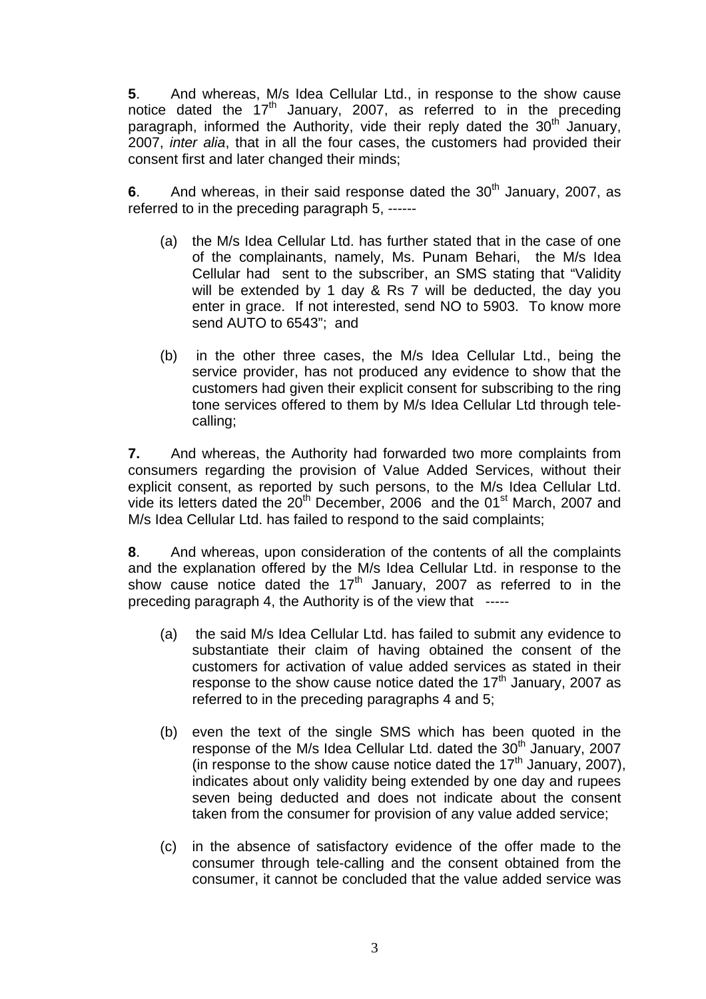**5**. And whereas, M/s Idea Cellular Ltd., in response to the show cause notice dated the  $17<sup>th</sup>$  January, 2007, as referred to in the preceding paragraph, informed the Authority, vide their reply dated the  $30<sup>th</sup>$  January, 2007, *inter alia*, that in all the four cases, the customers had provided their consent first and later changed their minds;

**6**. And whereas, in their said response dated the 30<sup>th</sup> January, 2007, as referred to in the preceding paragraph 5, ------

- (a) the M/s Idea Cellular Ltd. has further stated that in the case of one of the complainants, namely, Ms. Punam Behari, the M/s Idea Cellular had sent to the subscriber, an SMS stating that "Validity will be extended by 1 day & Rs 7 will be deducted, the day you enter in grace. If not interested, send NO to 5903. To know more send AUTO to 6543"; and
- (b) in the other three cases, the M/s Idea Cellular Ltd., being the service provider, has not produced any evidence to show that the customers had given their explicit consent for subscribing to the ring tone services offered to them by M/s Idea Cellular Ltd through telecalling;

**7.** And whereas, the Authority had forwarded two more complaints from consumers regarding the provision of Value Added Services, without their explicit consent, as reported by such persons, to the M/s Idea Cellular Ltd. vide its letters dated the  $20<sup>th</sup>$  December, 2006 and the 01<sup>st</sup> March, 2007 and M/s Idea Cellular Ltd. has failed to respond to the said complaints;

**8**. And whereas, upon consideration of the contents of all the complaints and the explanation offered by the M/s Idea Cellular Ltd. in response to the show cause notice dated the  $17<sup>th</sup>$  January, 2007 as referred to in the preceding paragraph 4, the Authority is of the view that -----

- (a) the said M/s Idea Cellular Ltd. has failed to submit any evidence to substantiate their claim of having obtained the consent of the customers for activation of value added services as stated in their response to the show cause notice dated the  $17<sup>th</sup>$  January, 2007 as referred to in the preceding paragraphs 4 and 5;
- (b) even the text of the single SMS which has been quoted in the response of the M/s Idea Cellular Ltd. dated the  $30<sup>th</sup>$  January, 2007 (in response to the show cause notice dated the  $17<sup>th</sup>$  January, 2007), indicates about only validity being extended by one day and rupees seven being deducted and does not indicate about the consent taken from the consumer for provision of any value added service;
- (c) in the absence of satisfactory evidence of the offer made to the consumer through tele-calling and the consent obtained from the consumer, it cannot be concluded that the value added service was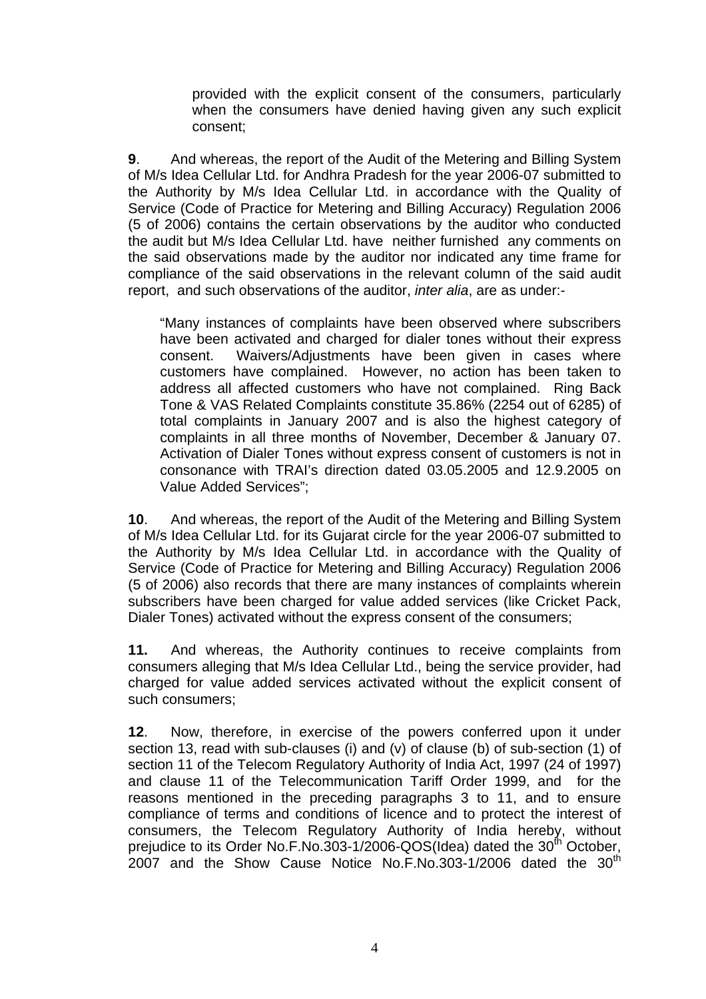provided with the explicit consent of the consumers, particularly when the consumers have denied having given any such explicit consent;

**9**. And whereas, the report of the Audit of the Metering and Billing System of M/s Idea Cellular Ltd. for Andhra Pradesh for the year 2006-07 submitted to the Authority by M/s Idea Cellular Ltd. in accordance with the Quality of Service (Code of Practice for Metering and Billing Accuracy) Regulation 2006 (5 of 2006) contains the certain observations by the auditor who conducted the audit but M/s Idea Cellular Ltd. have neither furnished any comments on the said observations made by the auditor nor indicated any time frame for compliance of the said observations in the relevant column of the said audit report, and such observations of the auditor, *inter alia*, are as under:-

"Many instances of complaints have been observed where subscribers have been activated and charged for dialer tones without their express consent. Waivers/Adjustments have been given in cases where customers have complained. However, no action has been taken to address all affected customers who have not complained. Ring Back Tone & VAS Related Complaints constitute 35.86% (2254 out of 6285) of total complaints in January 2007 and is also the highest category of complaints in all three months of November, December & January 07. Activation of Dialer Tones without express consent of customers is not in consonance with TRAI's direction dated 03.05.2005 and 12.9.2005 on Value Added Services";

**10**. And whereas, the report of the Audit of the Metering and Billing System of M/s Idea Cellular Ltd. for its Gujarat circle for the year 2006-07 submitted to the Authority by M/s Idea Cellular Ltd. in accordance with the Quality of Service (Code of Practice for Metering and Billing Accuracy) Regulation 2006 (5 of 2006) also records that there are many instances of complaints wherein subscribers have been charged for value added services (like Cricket Pack, Dialer Tones) activated without the express consent of the consumers;

**11.** And whereas, the Authority continues to receive complaints from consumers alleging that M/s Idea Cellular Ltd., being the service provider, had charged for value added services activated without the explicit consent of such consumers;

**12**. Now, therefore, in exercise of the powers conferred upon it under section 13, read with sub-clauses (i) and (v) of clause (b) of sub-section (1) of section 11 of the Telecom Regulatory Authority of India Act, 1997 (24 of 1997) and clause 11 of the Telecommunication Tariff Order 1999, and for the reasons mentioned in the preceding paragraphs 3 to 11, and to ensure compliance of terms and conditions of licence and to protect the interest of consumers, the Telecom Regulatory Authority of India hereby, without prejudice to its Order No.F.No.303-1/2006-QOS( $\overline{1}$ dea) dated the 30<sup>th</sup> October,  $2007$  and the Show Cause Notice No.F.No.303-1/2006 dated the 30<sup>th</sup>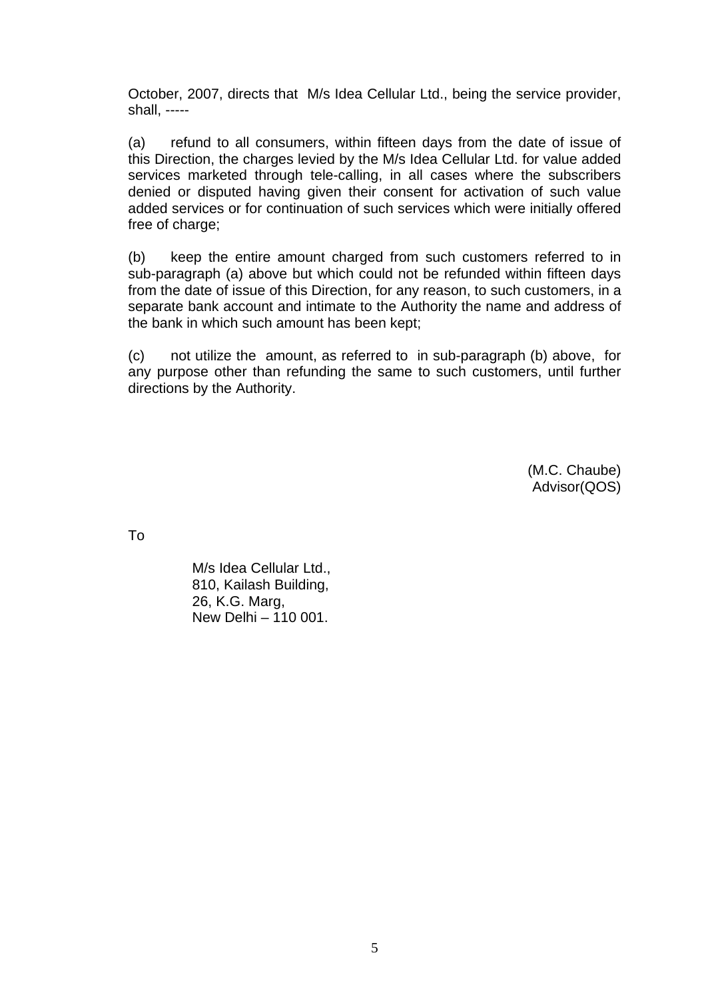October, 2007, directs that M/s Idea Cellular Ltd., being the service provider, shall, -----

(a) refund to all consumers, within fifteen days from the date of issue of this Direction, the charges levied by the M/s Idea Cellular Ltd. for value added services marketed through tele-calling, in all cases where the subscribers denied or disputed having given their consent for activation of such value added services or for continuation of such services which were initially offered free of charge;

(b) keep the entire amount charged from such customers referred to in sub-paragraph (a) above but which could not be refunded within fifteen days from the date of issue of this Direction, for any reason, to such customers, in a separate bank account and intimate to the Authority the name and address of the bank in which such amount has been kept;

(c) not utilize the amount, as referred to in sub-paragraph (b) above, for any purpose other than refunding the same to such customers, until further directions by the Authority.

> (M.C. Chaube) Advisor(QOS)

To

M/s Idea Cellular Ltd., 810, Kailash Building, 26, K.G. Marg, New Delhi – 110 001.